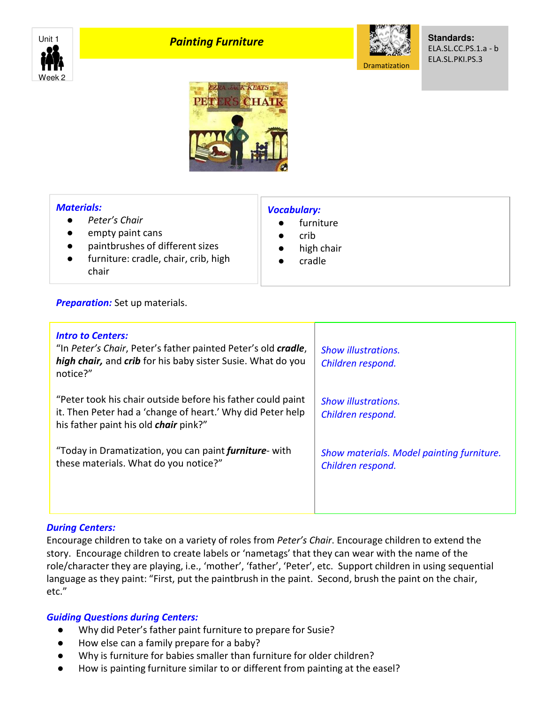

# **Painting Furniture**



**Standards:** ELA.SL.CC.PS.1.a - b ELA.SL.PKI.PS.3



### *Materials:*

- *Peter's Chair*
- empty paint cans
- paintbrushes of different sizes
- furniture: cradle, chair, crib, high chair

## *Vocabulary:*

- furniture
- crib
- high chair
- cradle

### **Preparation:** Set up materials.

| <b>Intro to Centers:</b><br>"In Peter's Chair, Peter's father painted Peter's old cradle,<br>high chair, and crib for his baby sister Susie. What do you<br>notice?"      | <b>Show illustrations.</b><br>Children respond.                |
|---------------------------------------------------------------------------------------------------------------------------------------------------------------------------|----------------------------------------------------------------|
| "Peter took his chair outside before his father could paint<br>it. Then Peter had a 'change of heart.' Why did Peter help<br>his father paint his old <i>chair</i> pink?" | <b>Show illustrations.</b><br>Children respond.                |
| "Today in Dramatization, you can paint <i>furniture</i> -with<br>these materials. What do you notice?"                                                                    | Show materials. Model painting furniture.<br>Children respond. |

### *During Centers:*

Encourage children to take on a variety of roles from *Peter's Chair*. Encourage children to extend the story. Encourage children to create labels or 'nametags' that they can wear with the name of the role/character they are playing, i.e., 'mother', 'father', 'Peter', etc. Support children in using sequential language as they paint: "First, put the paintbrush in the paint. Second, brush the paint on the chair, etc."

### *Guiding Questions during Centers:*

- Why did Peter's father paint furniture to prepare for Susie?
- How else can a family prepare for a baby?
- Why is furniture for babies smaller than furniture for older children?
- How is painting furniture similar to or different from painting at the easel?